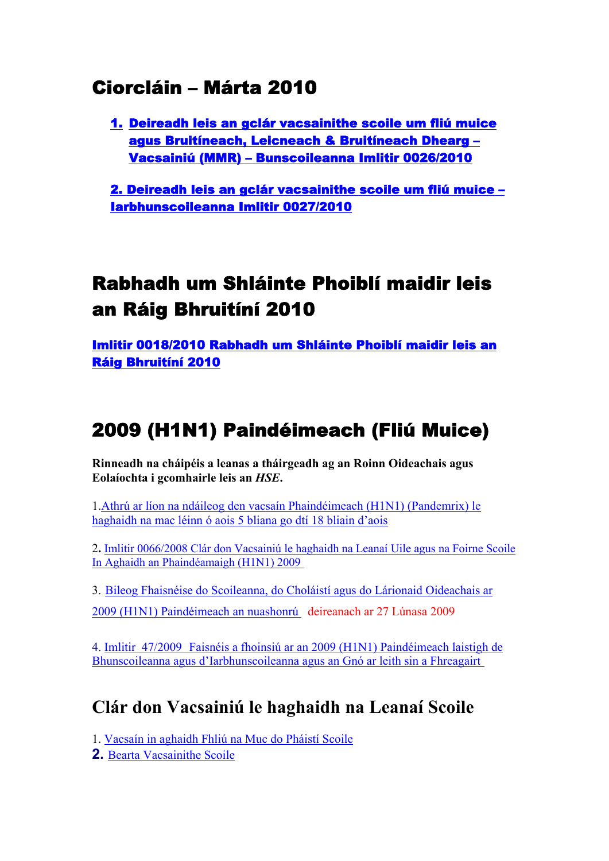### Ciorcláin – Márta 2010

1. [Deireadh leis an gclár vacsainithe scoile um fliú muice](http://www.education.ie/servlet/blobservlet/cl0026_2010_ir.pdf)  [agus Bruitíneach, Leicneach & Bruitíneach Dhearg –](http://www.education.ie/servlet/blobservlet/cl0026_2010_ir.pdf)  [Vacsainiú \(MMR\) – Bunscoileanna Imlitir 0026/2010](http://www.education.ie/servlet/blobservlet/cl0026_2010_ir.pdf) 

[2. Deireadh leis an gclár vacsainithe scoile um fliú muice –](http://www.education.ie/servlet/blobservlet/cl0027_2010_ir.pdf)  [Iarbhunscoileanna Imlitir 0027/2010](http://www.education.ie/servlet/blobservlet/cl0027_2010_ir.pdf)

# Rabhadh um Shláinte Phoiblí maidir leis an Ráig Bhruitíní 2010

[Imlitir 0018/2010 Rabhadh um Shláinte Phoiblí maidir leis an](http://www.education.ie/servlet/blobservlet/cl0018_2010_ir.pdf)  [Ráig Bhruitíní 2010](http://www.education.ie/servlet/blobservlet/cl0018_2010_ir.pdf)

# 2009 (H1N1) Paindéimeach (Fliú Muice)

**Rinneadh na cháipéis a leanas a tháirgeadh ag an Roinn Oideachais agus Eolaíochta i gcomhairle leis an** *HSE***.** 

1.[Athrú ar líon na ndáileog den vacsaín Phaindéimeach \(H1N1\) \(Pandemrix\) le](http://www.education.ie/servlet/blobservlet/vaccination_prog_children_and_staff_ir.pdf)  [haghaidh na mac léinn ó aois 5 bliana go dtí 18 bliain d'aois](http://www.education.ie/servlet/blobservlet/vaccination_prog_children_and_staff_ir.pdf)

2**.** [Imlitir 0066/2008 Clár don Vacsainiú le haghaidh na Leanaí Uile agus na Foirne Scoile](http://www.education.ie/servlet/blobservlet/cl0066_2009_ir.pdf) [In Aghaidh an Phaindéamaigh \(H1N1\) 2009](http://www.education.ie/servlet/blobservlet/cl0066_2009_ir.pdf)

3. [Bileog Fhaisnéise do Scoileanna, do Choláistí agus do Lárionaid Oideachais ar](http://www.education.ie/servlet/blobservlet/influenza_information_for_educational_establishments_ir.pdf) [2009 \(H1N1\) Paindéimeach an nuashonrú](http://www.education.ie/servlet/blobservlet/influenza_information_for_educational_establishments_ir.pdf) deireanach ar 27 Lúnasa 2009

4. [Imlitir 47/2009](http://www.education.ie/servlet/blobservlet/cl0047_2009_ir.pdf) [Faisnéis a fhoinsiú ar an 2009 \(H1N1\) Paindéimeach laistigh de](http://www.education.ie/servlet/blobservlet/cl0047_2009_ir.pdf)  [Bhunscoileanna agus d'Iarbhunscoileanna agus an Gnó ar leith sin a Fhreagairt](http://www.education.ie/servlet/blobservlet/cl0047_2009_ir.pdf)

### **Clár don Vacsainiú le haghaidh na Leanaí Scoile**

1. [Vacsaín in aghaidh Fhliú na Muc do Pháistí Scoile](http://www.hse.ie/eng/services/swineflu/vaccine/childrenolder/5to18.html)

**2.** [Bearta Vacsainithe Scoile](http://www.hse.ie/eng/services/swineflu/vaccine/childrenolder/schoolpack.pdf)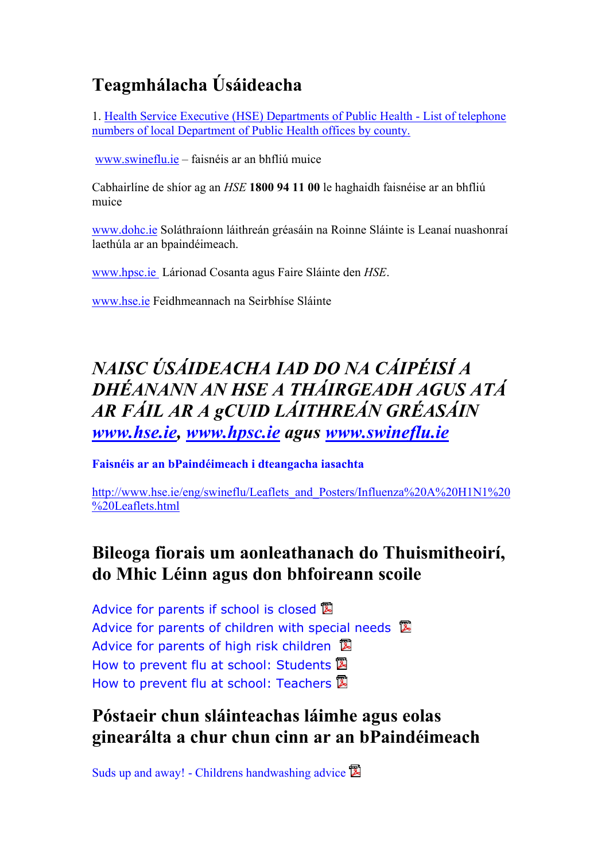## **Teagmhálacha Úsáideacha**

1. [Health Service Executive \(HSE\) Departments of Public Health - List of telephone](http://www.education.ie/servlet/blobservlet/influenza_hse_phone_numbers.doc) [numbers of local Department of Public Health offices by county.](http://www.education.ie/servlet/blobservlet/influenza_hse_phone_numbers.doc)

[www.swineflu.ie](http://www.swineflu.ie/) – faisnéis ar an bhfliú muice

Cabhairlíne de shíor ag an *HSE* **1800 94 11 00** le haghaidh faisnéise ar an bhfliú muice

[www.dohc.ie](http://www.dohc.ie/) Soláthraíonn láithreán gréasáin na Roinne Sláinte is Leanaí nuashonraí laethúla ar an bpaindéimeach.

[www.hpsc.ie](http://www.hpsc.ie/) Lárionad Cosanta agus Faire Sláinte den *HSE*.

[www.hse.ie](http://www.hse.ie/) Feidhmeannach na Seirbhíse Sláinte

### *NAISC ÚSÁIDEACHA IAD DO NA CÁIPÉISÍ A DHÉANANN AN HSE A THÁIRGEADH AGUS ATÁ AR FÁIL AR A gCUID LÁITHREÁN GRÉASÁIN [www.hse.ie,](http://www.hse.ie/) [www.hpsc.ie](http://www.hpsc.ie/) agus [www.swineflu.ie](http://www.swineflu.ie)*

**Faisnéis ar an bPaindéimeach i dteangacha iasachta** 

[http://www.hse.ie/eng/swineflu/Leaflets\\_and\\_Posters/Influenza%20A%20H1N1%20](http://www.hse.ie/eng/swineflu/Leaflets_and_Posters/Influenza%20A%20H1N1%20%20Leaflets.html) [%20Leaflets.html](http://www.hse.ie/eng/swineflu/Leaflets_and_Posters/Influenza%20A%20H1N1%20%20Leaflets.html) 

#### **Bileoga fiorais um aonleathanach do Thuismitheoirí, do Mhic Léinn agus don bhfoireann scoile**

[Advice for parents if school](http://www.hpsc.ie/hpsc/A-Z/EmergencyPlanning/AvianPandemicInfluenza/SwineInfluenza/EducationalandChildcaresettings/File,3926,en.PDF) is closed **図** [Advice for parents of children with special needs](http://www.hpsc.ie/hpsc/A-Z/EmergencyPlanning/AvianPandemicInfluenza/SwineInfluenza/EducationalandChildcaresettings/File,3927,en.pdf)  $\mathbb{\overline{B}}$ [Advice for parents of high risk children](http://www.hpsc.ie/hpsc/A-Z/EmergencyPlanning/AvianPandemicInfluenza/SwineInfluenza/EducationalandChildcaresettings/File,3928,en.pdf) **図** [How to prevent flu at school:](http://www.hpsc.ie/hpsc/A-Z/EmergencyPlanning/AvianPandemicInfluenza/SwineInfluenza/EducationalandChildcaresettings/File,3929,en.pdf) Students **図** [How to prevent flu at school:](http://www.hpsc.ie/hpsc/A-Z/EmergencyPlanning/AvianPandemicInfluenza/SwineInfluenza/EducationalandChildcaresettings/File,3930,en.pdf) Teachers **図** 

### **Póstaeir chun sláinteachas láimhe agus eolas ginearálta a chur chun cinn ar an bPaindéimeach**

[Suds up and away! - Childrens handwashing advice](http://www.hpsc.ie/hpsc/A-Z/EmergencyPlanning/AvianPandemicInfluenza/SwineInfluenza/EducationalandChildcaresettings/Posters/File,3686,en.pdf)